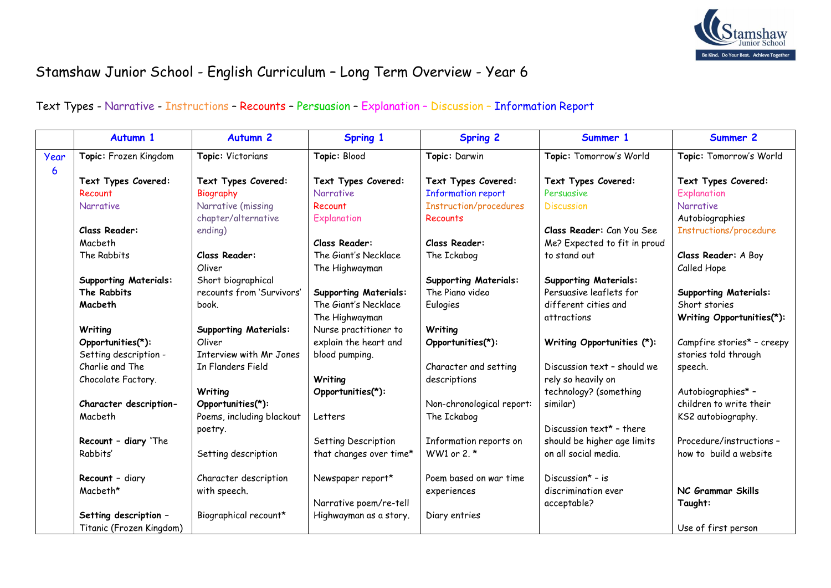

## Stamshaw Junior School - English Curriculum – Long Term Overview - Year 6

## Text Types - Narrative - Instructions – Recounts – Persuasion – Explanation – Discussion – Information Report

|      | Autumn 1                     | <b>Autumn 2</b>              | <b>Spring 1</b>              | <b>Spring 2</b>               | Summer 1                     | Summer 2                     |
|------|------------------------------|------------------------------|------------------------------|-------------------------------|------------------------------|------------------------------|
| Year | Topic: Frozen Kingdom        | Topic: Victorians            | Topic: Blood                 | Topic: Darwin                 | Topic: Tomorrow's World      | Topic: Tomorrow's World      |
| 6    |                              |                              |                              |                               |                              |                              |
|      | Text Types Covered:          | Text Types Covered:          | Text Types Covered:          | Text Types Covered:           | Text Types Covered:          | Text Types Covered:          |
|      | Recount                      | Biography                    | <b>Narrative</b>             | <b>Information report</b>     | Persuasive                   | Explanation                  |
|      | Narrative                    | Narrative (missing           | Recount                      | <b>Instruction/procedures</b> | <b>Discussion</b>            | <b>Narrative</b>             |
|      |                              | chapter/alternative          | Explanation                  | Recounts                      |                              | Autobiographies              |
|      | Class Reader:                | ending)                      |                              |                               | Class Reader: Can You See    | Instructions/procedure       |
|      | Macbeth                      |                              | Class Reader:                | Class Reader:                 | Me? Expected to fit in proud |                              |
|      | The Rabbits                  | <b>Class Reader:</b>         | The Giant's Necklace         | The Ickabog                   | to stand out                 | Class Reader: A Boy          |
|      |                              | Oliver                       | The Highwayman               |                               |                              | Called Hope                  |
|      | <b>Supporting Materials:</b> | Short biographical           |                              | <b>Supporting Materials:</b>  | <b>Supporting Materials:</b> |                              |
|      | The Rabbits                  | recounts from 'Survivors'    | <b>Supporting Materials:</b> | The Piano video               | Persuasive leaflets for      | <b>Supporting Materials:</b> |
|      | Macbeth                      | book.                        | The Giant's Necklace         | Eulogies                      | different cities and         | Short stories                |
|      |                              |                              | The Highwayman               |                               | attractions                  | Writing Opportunities(*):    |
|      | Writing                      | <b>Supporting Materials:</b> | Nurse practitioner to        | Writing                       |                              |                              |
|      | Opportunities(*):            | Oliver                       | explain the heart and        | Opportunities(*):             | Writing Opportunities (*):   | Campfire stories* - creepy   |
|      | Setting description -        | Interview with Mr Jones      | blood pumping.               |                               |                              | stories told through         |
|      | Charlie and The              | In Flanders Field            |                              | Character and setting         | Discussion text - should we  | speech.                      |
|      | Chocolate Factory.           |                              | Writing                      | descriptions                  | rely so heavily on           |                              |
|      |                              | Writing                      | Opportunities(*):            |                               | technology? (something       | Autobiographies* -           |
|      | Character description-       | Opportunities(*):            |                              | Non-chronological report:     | similar)                     | children to write their      |
|      | Macbeth                      | Poems, including blackout    | Letters                      | The Ickabog                   |                              | KS2 autobiography.           |
|      |                              | poetry.                      |                              |                               | Discussion text* - there     |                              |
|      | Recount - diary 'The         |                              | Setting Description          | Information reports on        | should be higher age limits  | Procedure/instructions -     |
|      | Rabbits'                     | Setting description          | that changes over time*      | WW1 or 2. $*$                 | on all social media.         | how to build a website       |
|      |                              |                              |                              |                               |                              |                              |
|      | Recount - diary              | Character description        | Newspaper report*            | Poem based on war time        | Discussion $* - is$          |                              |
|      | Macbeth*                     | with speech.                 |                              | experiences                   | discrimination ever          | NC Grammar Skills            |
|      |                              |                              | Narrative poem/re-tell       |                               | acceptable?                  | Taught:                      |
|      | Setting description -        | Biographical recount*        | Highwayman as a story.       | Diary entries                 |                              |                              |
|      | Titanic (Frozen Kingdom)     |                              |                              |                               |                              | Use of first person          |